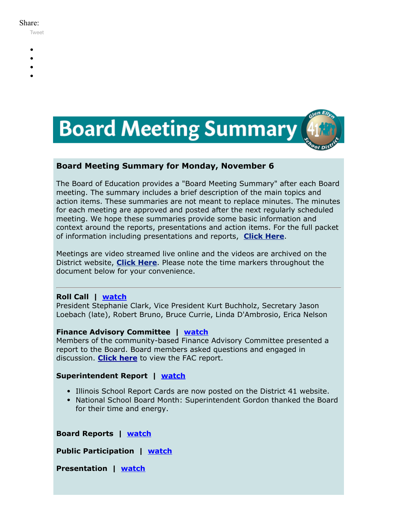#### Share:

[Tweet](https://twitter.com/intent/tweet?original_referer=https%3A%2F%2Fmyemail.constantcontact.com%2FBoard-Meeting-Summary-for-November-6--2017.html%3Fsoid%3D1102200973173%26aid%3D09PB4ItgCPI&ref_src=twsrc%5Etfw&text=Board%20Meeting%20Summary%20for%20November%206%2C%202017&tw_p=tweetbutton&url=https%3A%2F%2Fmyemail.constantcontact.com%2FBoard-Meeting-Summary-for-November-6--2017.html%3Fsoid%3D1102200973173%26aid%3D09PB4ItgCPI)

- 
- 
- 
- 
- 



### **Board Meeting Summary for Monday, November 6**

The Board of Education provides a "Board Meeting Summary" after each Board meeting. The summary includes a brief description of the main topics and action items. These summaries are not meant to replace minutes. The minutes for each meeting are approved and posted after the next regularly scheduled meeting. We hope these summaries provide some basic information and context around the reports, presentations and action items. For the full packet of information including presentations and reports, **[Click Here](http://www.d41.org/domain/36)**.

Meetings are video streamed live online and the videos are archived on the District website, **[Click Here](http://www.d41.org/domain/463)**. Please note the time markers throughout the document below for your convenience.

#### **Roll Call | [watch](https://www.youtube.com/watch?v=OKuBnagzWng&t=0m21s)**

President Stephanie Clark, Vice President Kurt Buchholz, Secretary Jason Loebach (late), Robert Bruno, Bruce Currie, Linda D'Ambrosio, Erica Nelson

#### **Finance Advisory Committee | [watch](https://www.youtube.com/watch?v=OKuBnagzWng&t=0m38s)**

Members of the community-based Finance Advisory Committee presented a report to the Board. Board members asked questions and engaged in discussion. **[Click here](https://v3.boardbook.org/Public/PublicItemDownload.aspx?ik=41496494)** to view the FAC report.

#### **Superintendent Report | [watch](https://www.youtube.com/watch?v=OKuBnagzWng&t=1h1m00s)**

- Illinois School Report Cards are now posted on the District 41 website.
- National School Board Month: Superintendent Gordon thanked the Board for their time and energy.

**Board Reports | [watch](https://www.youtube.com/watch?v=OKuBnagzWng&t=1h2m44s)**

**Public Participation | [watch](https://www.youtube.com/watch?v=OKuBnagzWng&t=1h9m19s)**

**Presentation | [watch](https://www.youtube.com/watch?v=OKuBnagzWng&t=1h16m0s)**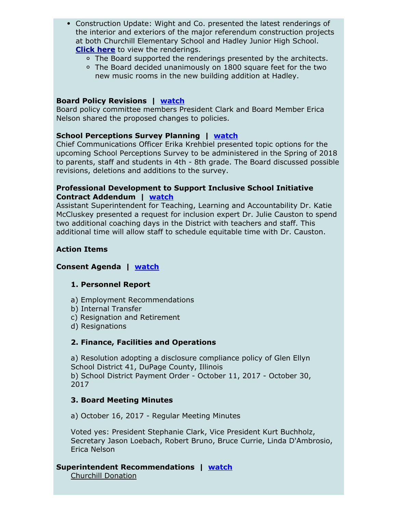- Construction Update: Wight and Co. presented the latest renderings of the interior and exteriors of the major referendum construction projects at both Churchill Elementary School and Hadley Junior High School. **[Click here](https://v3.boardbook.org/Public/PublicItemDownload.aspx?ik=41496686)** to view the renderings.
	- The Board supported the renderings presented by the architects.
	- The Board decided unanimously on 1800 square feet for the two new music rooms in the new building addition at Hadley.

#### **Board Policy Revisions | [watch](https://www.youtube.com/watch?v=OKuBnagzWng&t=2h11m55s)**

Board policy committee members President Clark and Board Member Erica Nelson shared the proposed changes to policies.

#### **School Perceptions Survey Planning | [watch](https://www.youtube.com/watch?v=OKuBnagzWng&t=2h22m45s)**

Chief Communications Officer Erika Krehbiel presented topic options for the upcoming School Perceptions Survey to be administered in the Spring of 2018 to parents, staff and students in 4th - 8th grade. The Board discussed possible revisions, deletions and additions to the survey.

#### **Professional Development to Support Inclusive School Initiative Contract Addendum | [watch](https://www.youtube.com/watch?v=OKuBnagzWng&t=2h42m53s)**

Assistant Superintendent for Teaching, Learning and Accountability Dr. Katie McCluskey presented a request for inclusion expert Dr. Julie Causton to spend two additional coaching days in the District with teachers and staff. This additional time will allow staff to schedule equitable time with Dr. Causton.

#### **Action Items**

#### **Consent Agenda | [watch](https://www.youtube.com/watch?v=OKuBnagzWng&t=2h57m20s)**

#### **1. Personnel Report**

a) Employment Recommendations

- b) Internal Transfer
- c) Resignation and Retirement
- d) Resignations

#### **2. Finance, Facilities and Operations**

a) Resolution adopting a disclosure compliance policy of Glen Ellyn School District 41, DuPage County, Illinois b) School District Payment Order - October 11, 2017 - October 30, 2017

#### **3. Board Meeting Minutes**

a) October 16, 2017 - Regular Meeting Minutes

Voted yes: President Stephanie Clark, Vice President Kurt Buchholz, Secretary Jason Loebach, Robert Bruno, Bruce Currie, Linda D'Ambrosio, Erica Nelson

# **Superintendent Recommendations | [watch](https://www.youtube.com/watch?v=OKuBnagzWng&t=2h58m20s)**

Churchill Donation